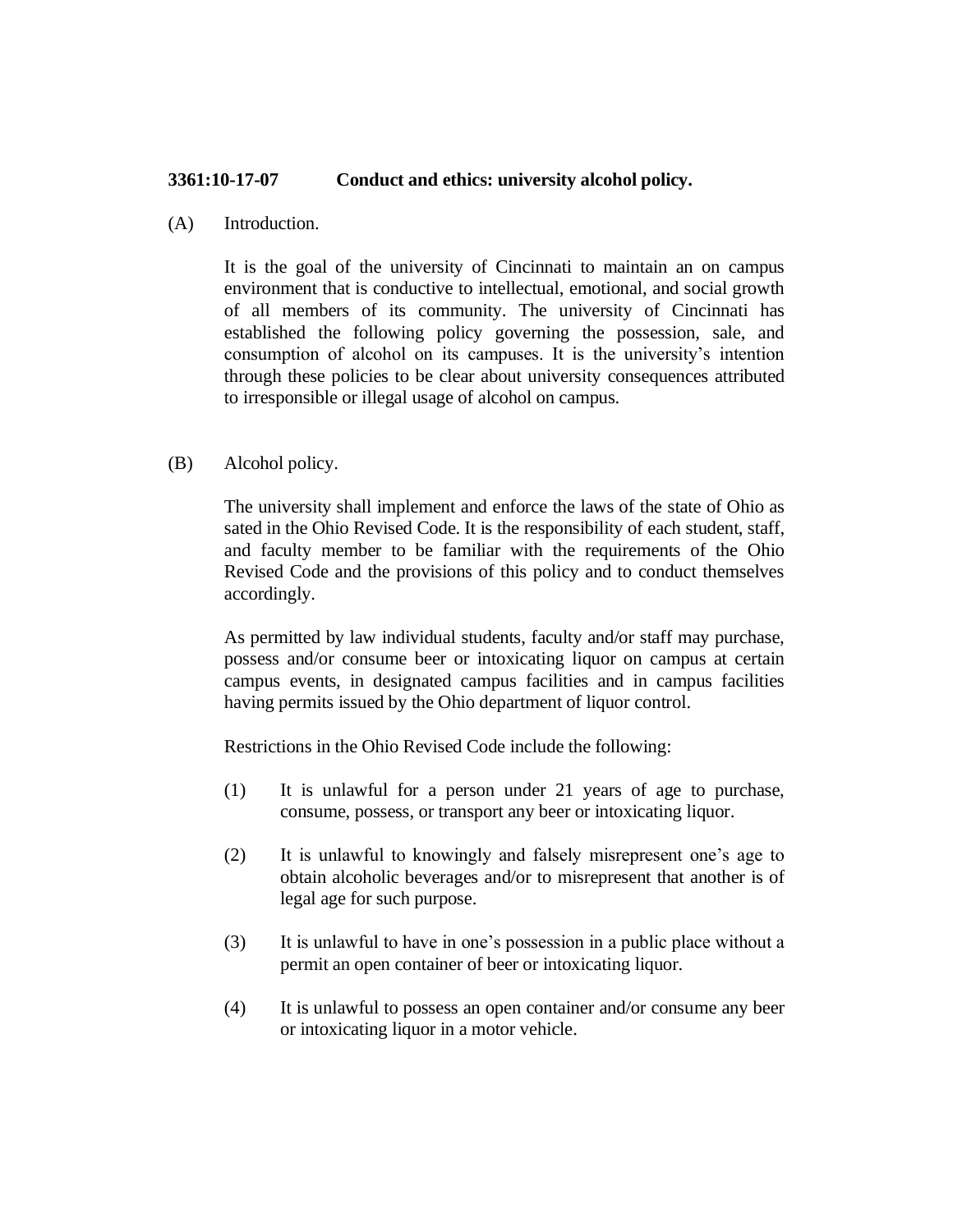## **3361:10-17-07 Conduct and ethics: university alcohol policy.**

(A) Introduction.

It is the goal of the university of Cincinnati to maintain an on campus environment that is conductive to intellectual, emotional, and social growth of all members of its community. The university of Cincinnati has established the following policy governing the possession, sale, and consumption of alcohol on its campuses. It is the university's intention through these policies to be clear about university consequences attributed to irresponsible or illegal usage of alcohol on campus.

(B) Alcohol policy.

The university shall implement and enforce the laws of the state of Ohio as sated in the Ohio Revised Code. It is the responsibility of each student, staff, and faculty member to be familiar with the requirements of the Ohio Revised Code and the provisions of this policy and to conduct themselves accordingly.

As permitted by law individual students, faculty and/or staff may purchase, possess and/or consume beer or intoxicating liquor on campus at certain campus events, in designated campus facilities and in campus facilities having permits issued by the Ohio department of liquor control.

Restrictions in the Ohio Revised Code include the following:

- (1) It is unlawful for a person under 21 years of age to purchase, consume, possess, or transport any beer or intoxicating liquor.
- (2) It is unlawful to knowingly and falsely misrepresent one's age to obtain alcoholic beverages and/or to misrepresent that another is of legal age for such purpose.
- (3) It is unlawful to have in one's possession in a public place without a permit an open container of beer or intoxicating liquor.
- (4) It is unlawful to possess an open container and/or consume any beer or intoxicating liquor in a motor vehicle.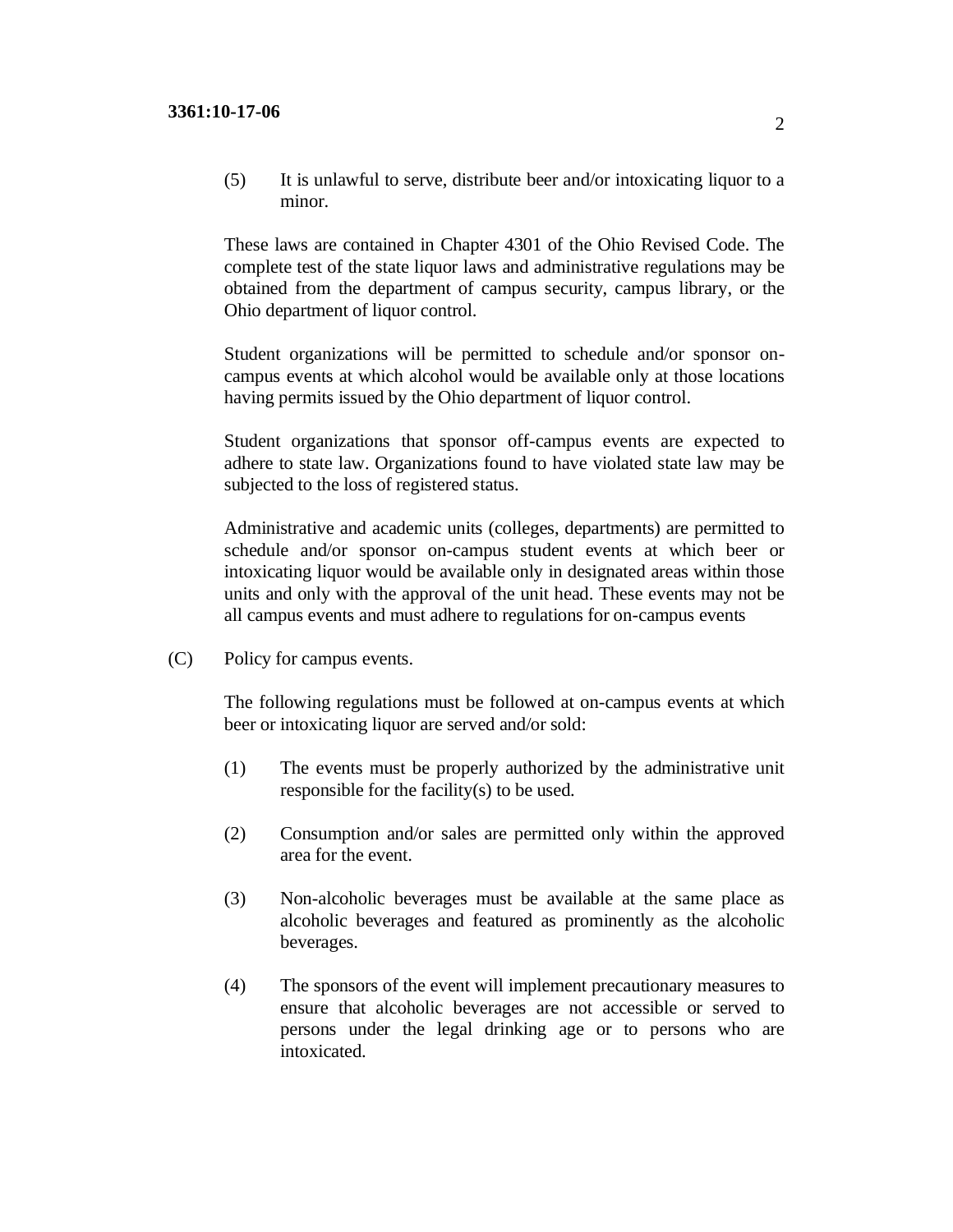(5) It is unlawful to serve, distribute beer and/or intoxicating liquor to a minor.

These laws are contained in Chapter 4301 of the Ohio Revised Code. The complete test of the state liquor laws and administrative regulations may be obtained from the department of campus security, campus library, or the Ohio department of liquor control.

Student organizations will be permitted to schedule and/or sponsor oncampus events at which alcohol would be available only at those locations having permits issued by the Ohio department of liquor control.

Student organizations that sponsor off-campus events are expected to adhere to state law. Organizations found to have violated state law may be subjected to the loss of registered status.

Administrative and academic units (colleges, departments) are permitted to schedule and/or sponsor on-campus student events at which beer or intoxicating liquor would be available only in designated areas within those units and only with the approval of the unit head. These events may not be all campus events and must adhere to regulations for on-campus events

(C) Policy for campus events.

The following regulations must be followed at on-campus events at which beer or intoxicating liquor are served and/or sold:

- (1) The events must be properly authorized by the administrative unit responsible for the facility(s) to be used.
- (2) Consumption and/or sales are permitted only within the approved area for the event.
- (3) Non-alcoholic beverages must be available at the same place as alcoholic beverages and featured as prominently as the alcoholic beverages.
- (4) The sponsors of the event will implement precautionary measures to ensure that alcoholic beverages are not accessible or served to persons under the legal drinking age or to persons who are intoxicated.